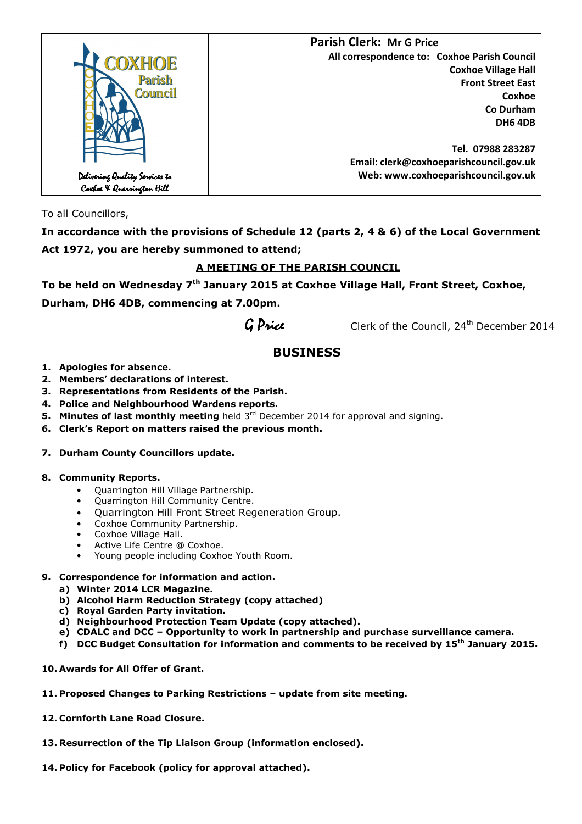

To all Councillors,

**In accordance with the provisions of Schedule 12 (parts 2, 4 & 6) of the Local Government Act 1972, you are hereby summoned to attend;** 

## **A MEETING OF THE PARISH COUNCIL**

**To be held on Wednesday 7th January 2015 at Coxhoe Village Hall, Front Street, Coxhoe,** 

**Durham, DH6 4DB, commencing at 7.00pm.** 

 $G$  Price Clerk of the Council, 24<sup>th</sup> December 2014

# **BUSINESS**

- **1. Apologies for absence.**
- **2. Members' declarations of interest.**
- **3. Representations from Residents of the Parish.**
- **4. Police and Neighbourhood Wardens reports.**
- **5. Minutes of last monthly meeting** held 3<sup>rd</sup> December 2014 for approval and signing.
- **6. Clerk's Report on matters raised the previous month.**

### **7. Durham County Councillors update.**

### **8. Community Reports.**

- Quarrington Hill Village Partnership.
- Quarrington Hill Community Centre.
- Quarrington Hill Front Street Regeneration Group.
- Coxhoe Community Partnership.
- Coxhoe Village Hall.
- Active Life Centre @ Coxhoe.
- Young people including Coxhoe Youth Room.

## **9. Correspondence for information and action.**

- **a) Winter 2014 LCR Magazine.**
- **b) Alcohol Harm Reduction Strategy (copy attached)**
- **c) Royal Garden Party invitation.**
- **d) Neighbourhood Protection Team Update (copy attached).**
- **e) CDALC and DCC Opportunity to work in partnership and purchase surveillance camera.**
- **f) DCC Budget Consultation for information and comments to be received by 15th January 2015.**
- **10. Awards for All Offer of Grant.**
- **11. Proposed Changes to Parking Restrictions update from site meeting.**
- **12. Cornforth Lane Road Closure.**
- **13. Resurrection of the Tip Liaison Group (information enclosed).**
- **14. Policy for Facebook (policy for approval attached).**